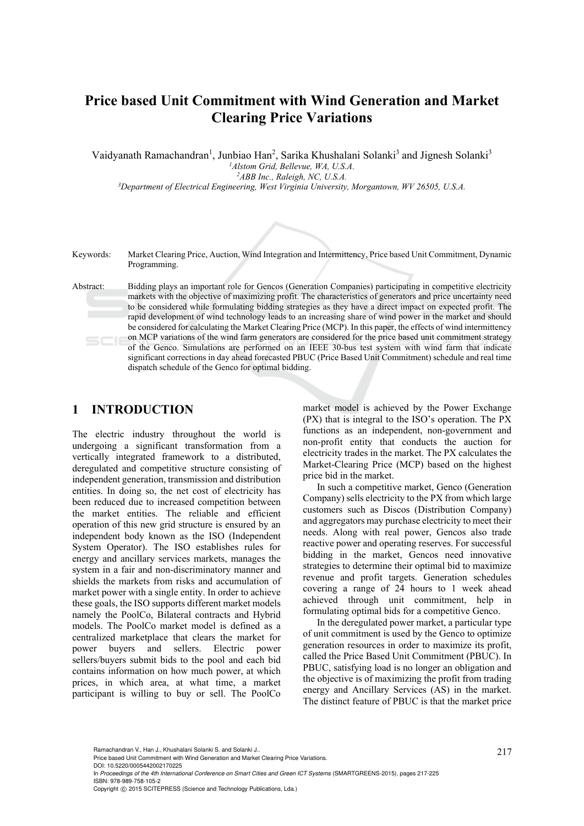# **Price based Unit Commitment with Wind Generation and Market Clearing Price Variations**

Vaidyanath Ramachandran<sup>1</sup>, Junbiao Han<sup>2</sup>, Sarika Khushalani Solanki<sup>3</sup> and Jignesh Solanki<sup>3</sup> *1Alstom Grid, Bellevue, WA, U.S.A.* 

<sup>3</sup>Department of Electrical Engineering, West Virginia University, Morgantown, WV 26505, U.S.A.



Keywords: Market Clearing Price, Auction, Wind Integration and Intermittency, Price based Unit Commitment, Dynamic Programming.

Abstract: Bidding plays an important role for Gencos (Generation Companies) participating in competitive electricity markets with the objective of maximizing profit. The characteristics of generators and price uncertainty need to be considered while formulating bidding strategies as they have a direct impact on expected profit. The rapid development of wind technology leads to an increasing share of wind power in the market and should be considered for calculating the Market Clearing Price (MCP). In this paper, the effects of wind intermittency on MCP variations of the wind farm generators are considered for the price based unit commitment strategy of the Genco. Simulations are performed on an IEEE 30-bus test system with wind farm that indicate significant corrections in day ahead forecasted PBUC (Price Based Unit Commitment) schedule and real time dispatch schedule of the Genco for optimal bidding.

# **1 INTRODUCTION**

The electric industry throughout the world is undergoing a significant transformation from a vertically integrated framework to a distributed, deregulated and competitive structure consisting of independent generation, transmission and distribution entities. In doing so, the net cost of electricity has been reduced due to increased competition between the market entities. The reliable and efficient operation of this new grid structure is ensured by an independent body known as the ISO (Independent System Operator). The ISO establishes rules for energy and ancillary services markets, manages the system in a fair and non-discriminatory manner and shields the markets from risks and accumulation of market power with a single entity. In order to achieve these goals, the ISO supports different market models namely the PoolCo, Bilateral contracts and Hybrid models. The PoolCo market model is defined as a centralized marketplace that clears the market for power buyers and sellers. Electric power sellers/buyers submit bids to the pool and each bid contains information on how much power, at which prices, in which area, at what time, a market participant is willing to buy or sell. The PoolCo

market model is achieved by the Power Exchange (PX) that is integral to the ISO's operation. The PX functions as an independent, non-government and non-profit entity that conducts the auction for electricity trades in the market. The PX calculates the Market-Clearing Price (MCP) based on the highest price bid in the market.

In such a competitive market, Genco (Generation Company) sells electricity to the PX from which large customers such as Discos (Distribution Company) and aggregators may purchase electricity to meet their needs. Along with real power, Gencos also trade reactive power and operating reserves. For successful bidding in the market, Gencos need innovative strategies to determine their optimal bid to maximize revenue and profit targets. Generation schedules covering a range of 24 hours to 1 week ahead achieved through unit commitment, help in formulating optimal bids for a competitive Genco.

In the deregulated power market, a particular type of unit commitment is used by the Genco to optimize generation resources in order to maximize its profit, called the Price Based Unit Commitment (PBUC). In PBUC, satisfying load is no longer an obligation and the objective is of maximizing the profit from trading energy and Ancillary Services (AS) in the market. The distinct feature of PBUC is that the market price

DOI: 10.5220/0005442002170225

In *Proceedings of the 4th International Conference on Smart Cities and Green ICT Systems* (SMARTGREENS-2015), pages 217-225 ISBN: 978-989-758-105-2

Ramachandran V., Han J., Khushalani Solanki S. and Solanki J..<br>Price based Unit Commitment with Wind Generation and Market Clearing Price Variations.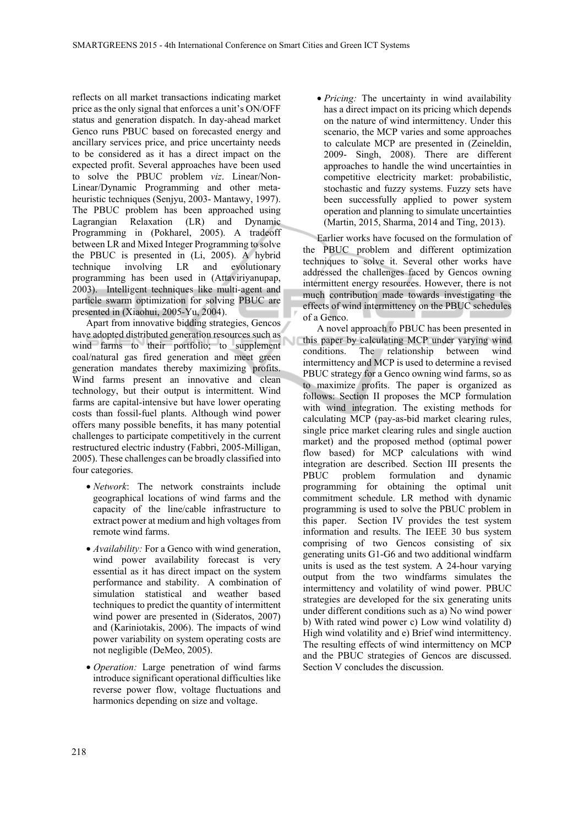reflects on all market transactions indicating market price as the only signal that enforces a unit's ON/OFF status and generation dispatch. In day-ahead market Genco runs PBUC based on forecasted energy and ancillary services price, and price uncertainty needs to be considered as it has a direct impact on the expected profit. Several approaches have been used to solve the PBUC problem *viz*. Linear/Non-Linear/Dynamic Programming and other metaheuristic techniques (Senjyu, 2003- Mantawy, 1997). The PBUC problem has been approached using Lagrangian Relaxation (LR) and Dynamic Programming in (Pokharel, 2005). A tradeoff between LR and Mixed Integer Programming to solve the PBUC is presented in (Li, 2005). A hybrid technique involving LR and evolutionary programming has been used in (Attaviriyanupap, 2003). Intelligent techniques like multi-agent and particle swarm optimization for solving PBUC are presented in (Xiaohui, 2005-Yu, 2004).

Apart from innovative bidding strategies, Gencos have adopted distributed generation resources such as wind farms to their portfolio; to supplement coal/natural gas fired generation and meet green generation mandates thereby maximizing profits. Wind farms present an innovative and clean technology, but their output is intermittent. Wind farms are capital-intensive but have lower operating costs than fossil-fuel plants. Although wind power offers many possible benefits, it has many potential challenges to participate competitively in the current restructured electric industry (Fabbri, 2005-Milligan, 2005). These challenges can be broadly classified into four categories.

- *Network*: The network constraints include geographical locations of wind farms and the capacity of the line/cable infrastructure to extract power at medium and high voltages from remote wind farms.
- *Availability:* For a Genco with wind generation, wind power availability forecast is very essential as it has direct impact on the system performance and stability. A combination of simulation statistical and weather based techniques to predict the quantity of intermittent wind power are presented in (Sideratos, 2007) and (Kariniotakis, 2006). The impacts of wind power variability on system operating costs are not negligible (DeMeo, 2005).
- *Operation:* Large penetration of wind farms introduce significant operational difficulties like reverse power flow, voltage fluctuations and harmonics depending on size and voltage.

• *Pricing:* The uncertainty in wind availability has a direct impact on its pricing which depends on the nature of wind intermittency. Under this scenario, the MCP varies and some approaches to calculate MCP are presented in (Zeineldin, 2009- Singh, 2008). There are different approaches to handle the wind uncertainties in competitive electricity market: probabilistic, stochastic and fuzzy systems. Fuzzy sets have been successfully applied to power system operation and planning to simulate uncertainties (Martin, 2015, Sharma, 2014 and Ting, 2013).

Earlier works have focused on the formulation of the PBUC problem and different optimization techniques to solve it. Several other works have addressed the challenges faced by Gencos owning intermittent energy resources. However, there is not much contribution made towards investigating the effects of wind intermittency on the PBUC schedules of a Genco.

A novel approach to PBUC has been presented in this paper by calculating MCP under varying wind conditions. The relationship between wind intermittency and MCP is used to determine a revised PBUC strategy for a Genco owning wind farms, so as to maximize profits. The paper is organized as follows: Section II proposes the MCP formulation with wind integration. The existing methods for calculating MCP (pay-as-bid market clearing rules, single price market clearing rules and single auction market) and the proposed method (optimal power flow based) for MCP calculations with wind integration are described. Section III presents the PBUC problem formulation and dynamic programming for obtaining the optimal unit commitment schedule. LR method with dynamic programming is used to solve the PBUC problem in this paper. Section IV provides the test system information and results. The IEEE 30 bus system comprising of two Gencos consisting of six generating units G1-G6 and two additional windfarm units is used as the test system. A 24-hour varying output from the two windfarms simulates the intermittency and volatility of wind power. PBUC strategies are developed for the six generating units under different conditions such as a) No wind power b) With rated wind power c) Low wind volatility d) High wind volatility and e) Brief wind intermittency. The resulting effects of wind intermittency on MCP and the PBUC strategies of Gencos are discussed. Section V concludes the discussion.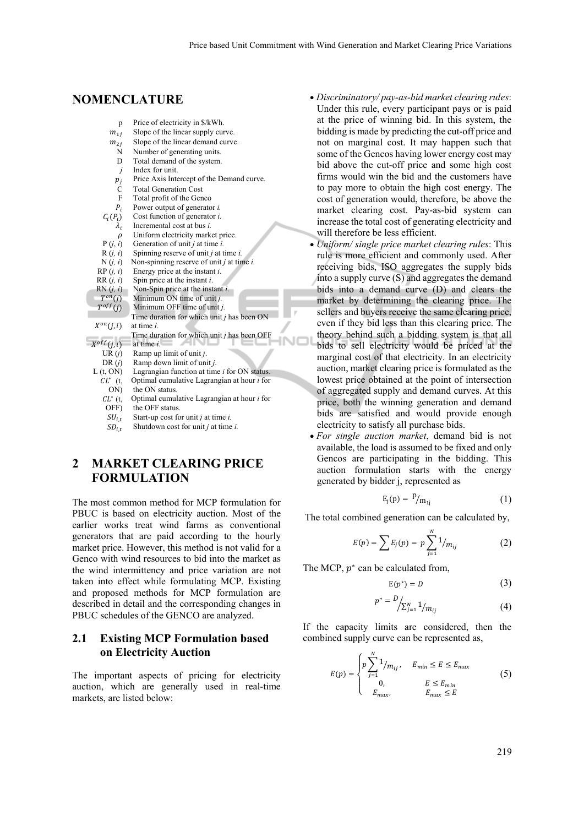# **NOMENCLATURE**

| p                 | Price of electricity in \$/kWh.                                       |
|-------------------|-----------------------------------------------------------------------|
| $m_{1i}$          | Slope of the linear supply curve.                                     |
| $m_{2i}$          | Slope of the linear demand curve.                                     |
| N                 | Number of generating units.                                           |
| D                 | Total demand of the system.                                           |
| j                 | Index for unit.                                                       |
| $p_i$             | Price Axis Intercept of the Demand curve.                             |
| C                 | <b>Total Generation Cost</b>                                          |
| $\mathbf{F}$      | Total profit of the Genco                                             |
| $P_i$             | Power output of generator <i>i</i> .                                  |
| $C_i(P_i)$        | Cost function of generator <i>i</i> .                                 |
| $\lambda_i$       | Incremental cost at bus i.                                            |
| $\rho$            | Uniform electricity market price.                                     |
| P(j, i)           | Generation of unit $j$ at time $i$ .                                  |
| R(j, i)           | Spinning reserve of unit $j$ at time $i$ .                            |
| N(i, i)           | Non-spinning reserve of unit $j$ at time $i$ .                        |
| RP(i, i)          | Energy price at the instant <i>i</i> .                                |
| RR(j, i)          | Spin price at the instant <i>i</i> .                                  |
| RN(j, i)          | Non-Spin price at the instant $i$ .                                   |
| $T^{on}(j)$       | Minimum ON time of unit j.                                            |
| $T^{off}(j)$      | Minimum OFF time of unit j.                                           |
|                   | Time duration for which unit $j$ has been ON                          |
| $X^{on}(j,i)$     | at time <i>i</i> .                                                    |
|                   | Time duration for which unit <i>j</i> has been OFF                    |
| $X^{off}(j,i)$    | at time <i>i</i> .                                                    |
| UR(j)             | Ramp up limit of unit j.                                              |
| DR(i)             | Ramp down limit of unit j.                                            |
| L(t, ON)          | Lagrangian function at time <i>i</i> for ON status.                   |
| $CL^*$ (t,        | Optimal cumulative Lagrangian at hour <i>i</i> for<br>the ON status.  |
| ON)<br>$CL^*$ (t, |                                                                       |
| OFF)              | Optimal cumulative Lagrangian at hour <i>i</i> for<br>the OFF status. |
|                   |                                                                       |
| $SU_{i,t}$        | Start-up cost for unit $j$ at time $i$ .                              |

 $SD_{i,t}$  Shutdown cost for unit *j* at time *i*.

# **2 MARKET CLEARING PRICE FORMULATION**

The most common method for MCP formulation for PBUC is based on electricity auction. Most of the earlier works treat wind farms as conventional generators that are paid according to the hourly market price. However, this method is not valid for a Genco with wind resources to bid into the market as the wind intermittency and price variation are not taken into effect while formulating MCP. Existing and proposed methods for MCP formulation are described in detail and the corresponding changes in PBUC schedules of the GENCO are analyzed.

### **2.1 Existing MCP Formulation based on Electricity Auction**

The important aspects of pricing for electricity auction, which are generally used in real-time markets, are listed below:

- *Discriminatory/ pay-as-bid market clearing rules*: Under this rule, every participant pays or is paid at the price of winning bid. In this system, the bidding is made by predicting the cut-off price and not on marginal cost. It may happen such that some of the Gencos having lower energy cost may bid above the cut-off price and some high cost firms would win the bid and the customers have to pay more to obtain the high cost energy. The cost of generation would, therefore, be above the market clearing cost. Pay-as-bid system can increase the total cost of generating electricity and will therefore be less efficient.
- *Uniform/ single price market clearing rules*: This rule is more efficient and commonly used. After receiving bids, ISO aggregates the supply bids into a supply curve (S) and aggregates the demand bids into a demand curve (D) and clears the market by determining the clearing price. The sellers and buyers receive the same clearing price, even if they bid less than this clearing price. The theory behind such a bidding system is that all INOL bids to sell electricity would be priced at the marginal cost of that electricity. In an electricity auction, market clearing price is formulated as the lowest price obtained at the point of intersection of aggregated supply and demand curves. At this price, both the winning generation and demand bids are satisfied and would provide enough electricity to satisfy all purchase bids.
	- *For single auction market*, demand bid is not available, the load is assumed to be fixed and only Gencos are participating in the bidding. This auction formulation starts with the energy generated by bidder j, represented as

$$
E_j(p) = \frac{p}{m_{1j}} \tag{1}
$$

The total combined generation can be calculated by,

$$
E(p) = \sum E_j(p) = p \sum_{j=1}^{N} 1_{/m_{ij}}
$$
 (2)

The MCP,  $p^*$  can be calculated from,

$$
E(p^*) = D \tag{3}
$$

$$
p^* = \frac{D}{\sum_{j=1}^N 1_{m_{ij}}} \tag{4}
$$

If the capacity limits are considered, then the combined supply curve can be represented as,

$$
E(p) = \begin{cases} p \sum_{j=1}^{N} 1/m_{ij}, & E_{min} \le E \le E_{max} \\ 0, & E \le E_{min} \\ E_{max}, & E_{max} \le E \end{cases}
$$
 (5)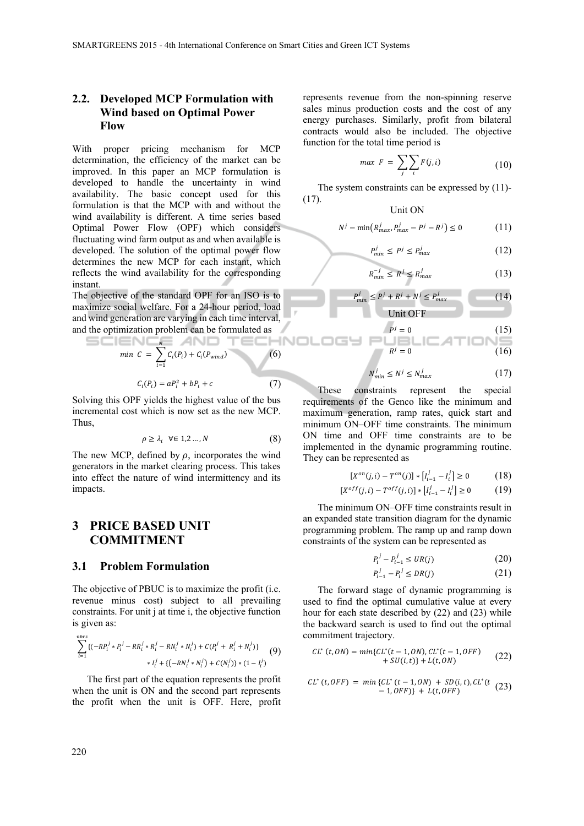### **2.2. Developed MCP Formulation with Wind based on Optimal Power Flow**

With proper pricing mechanism for MCP determination, the efficiency of the market can be improved. In this paper an MCP formulation is developed to handle the uncertainty in wind availability. The basic concept used for this formulation is that the MCP with and without the wind availability is different. A time series based Optimal Power Flow (OPF) which considers fluctuating wind farm output as and when available is developed. The solution of the optimal power flow determines the new MCP for each instant, which reflects the wind availability for the corresponding instant.

The objective of the standard OPF for an ISO is to maximize social welfare. For a 24-hour period, load and wind generation are varying in each time interval, and the optimization problem can be formulated as

$$
\min C = \sum_{i=1}^{N} C_i(P_i) + C_i(P_{wind})
$$
\n(6)\n  
\n
$$
C_i(P_i) = aP_i^2 + bP_i + c
$$
\n(7)

Solving this OPF yields the highest value of the bus incremental cost which is now set as the new MCP. Thus,

$$
\rho \ge \lambda_i \quad \forall \in 1, 2 \dots, N \tag{8}
$$

The new MCP, defined by  $\rho$ , incorporates the wind generators in the market clearing process. This takes into effect the nature of wind intermittency and its impacts.

# **3 PRICE BASED UNIT COMMITMENT**

#### **3.1 Problem Formulation**

The objective of PBUC is to maximize the profit (i.e. revenue minus cost) subject to all prevailing constraints. For unit j at time i, the objective function is given as:

$$
\sum_{i=1}^{nhrs} \{(-RP_i^j * P_i^j - RR_i^j * R_i^j - RN_i^j * N_i^j) + C(P_i^j + R_i^j + N_i^j)\}
$$
  
 
$$
* I_i^j + \{(-RN_i^j * N_i^j) + C(N_i^j)\} * (1 - I_i^j)
$$
 (9)

The first part of the equation represents the profit when the unit is ON and the second part represents the profit when the unit is OFF. Here, profit

represents revenue from the non-spinning reserve sales minus production costs and the cost of any energy purchases. Similarly, profit from bilateral contracts would also be included. The objective function for the total time period is

$$
\max F = \sum_{j} \sum_{i} F(j, i) \tag{10}
$$

The system constraints can be expressed by (11)- (17).  $U_{\alpha}$  is  $\alpha$ 

$$
N^j - \min\left(R^j_{max}, P^j_{max} - P^j - R^j\right) \le 0 \tag{11}
$$

$$
P_{min}^j \le P^j \le P_{max}^j \tag{12}
$$

$$
R_{min}^{-j} \le R^j \le R_{max}^j \tag{13}
$$

$$
P_{min}^j \le P^j + R^j + N^j \le P_{max}^j \tag{14}
$$

Unit OFF  
\n
$$
P^{j} = 0
$$
\n(15)  
\n
$$
R^{j} = 0
$$
\n(16)

$$
2 \, \text{M} \cdot 2 \, \text{M} \tag{17}
$$

$$
y'_{\min} \le N^j \le N^j_{\max} \tag{17}
$$

These constraints represent the special requirements of the Genco like the minimum and maximum generation, ramp rates, quick start and minimum ON–OFF time constraints. The minimum ON time and OFF time constraints are to be implemented in the dynamic programming routine. They can be represented as

 $\lambda$ 

 $\equiv$ 

$$
[X^{on}(j,i) - T^{on}(j)] * [I_{i-1}^j - I_i^j] \ge 0 \tag{18}
$$

$$
[X^{off}(j,i) - T^{off}(j,i)] * [I_{i-1}^j - I_i^j] \ge 0 \tag{19}
$$

The minimum ON–OFF time constraints result in an expanded state transition diagram for the dynamic programming problem. The ramp up and ramp down constraints of the system can be represented as

$$
P_i^j - P_{i-1}^j \leq UR(j) \tag{20}
$$

$$
P_{i-1}^j - P_i^j \le DR(j) \tag{21}
$$

The forward stage of dynamic programming is used to find the optimal cumulative value at every hour for each state described by (22) and (23) while the backward search is used to find out the optimal commitment trajectory.

$$
CL^*(t,0N) = min\{CL^*(t-1,0N), CL^*(t-1,0FF) + SU(i,t)\} + L(t,0N)
$$
 (22)

$$
CL^*(t,OFF) = min\{CL^*(t-1,ON) + SD(i,t), CL^*(t\ (23)\\-1,OFF)\} + L(t,OFF)
$$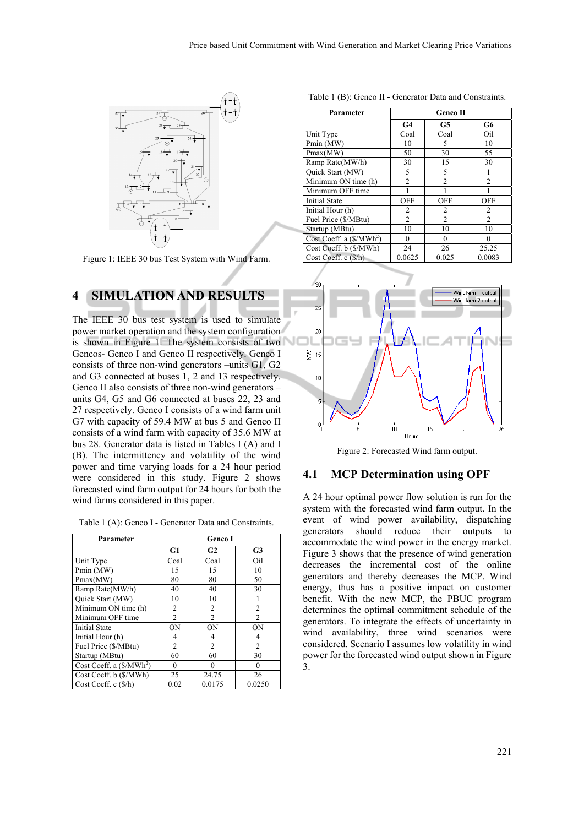

Figure 1: IEEE 30 bus Test System with Wind Farm.

# **4 SIMULATION AND RESULTS**

The IEEE 30 bus test system is used to simulate power market operation and the system configuration is shown in Figure 1. The system consists of two Gencos- Genco I and Genco II respectively. Genco I consists of three non-wind generators –units G1, G2 and G3 connected at buses 1, 2 and 13 respectively. Genco II also consists of three non-wind generators – units G4, G5 and G6 connected at buses 22, 23 and 27 respectively. Genco I consists of a wind farm unit G7 with capacity of 59.4 MW at bus 5 and Genco II consists of a wind farm with capacity of 35.6 MW at bus 28. Generator data is listed in Tables I (A) and I (B). The intermittency and volatility of the wind power and time varying loads for a 24 hour period were considered in this study. Figure 2 shows forecasted wind farm output for 24 hours for both the wind farms considered in this paper.

|  | Table 1 (A): Genco I - Generator Data and Constraints. |  |  |  |
|--|--------------------------------------------------------|--|--|--|
|--|--------------------------------------------------------|--|--|--|

| Parameter                            | Genco I        |                |                |  |
|--------------------------------------|----------------|----------------|----------------|--|
|                                      | G1             | G2             | G <sub>3</sub> |  |
| Unit Type                            | Coal           | Coal           | Oil            |  |
| Pmin (MW)                            | 15             | 15             | 10             |  |
| Pmax(MW)                             | 80             | 80             | 50             |  |
| Ramp Rate(MW/h)                      | 40             | 40             | 30             |  |
| Quick Start (MW)                     | 10             | 10             |                |  |
| Minimum ON time (h)                  | 2              | $\overline{2}$ | $\overline{2}$ |  |
| Minimum OFF time                     | $\overline{2}$ | $\overline{2}$ | $\mathfrak{D}$ |  |
| <b>Initial State</b>                 | <b>ON</b>      | ON             | <b>ON</b>      |  |
| Initial Hour (h)                     | 4              | 4              | 4              |  |
| Fuel Price (\$/MBtu)                 | $\overline{c}$ | $\overline{2}$ | $\overline{2}$ |  |
| Startup (MBtu)                       | 60             | 60             | 30             |  |
| Cost Coeff. a (\$/MWh <sup>2</sup> ) | 0              | 0              | $\theta$       |  |
| Cost Coeff. b (\$/MWh)               | 25             | 24.75          | 26             |  |
| Cost Coeff. c (\$/h)                 | 0.02           | 0.0175         | 0.0250         |  |

Table 1 (B): Genco II - Generator Data and Constraints.

| Parameter                            | <b>Genco II</b> |                |                |  |
|--------------------------------------|-----------------|----------------|----------------|--|
|                                      | G <sub>4</sub>  | G5             | G6             |  |
| Unit Type                            | Coal            | Coal           | Oil            |  |
| Pmin (MW)                            | 10              | 5              | 10             |  |
| Pmax(MW)                             | 50              | 30             | 55             |  |
| Ramp Rate(MW/h)                      | 30              | 15             | 30             |  |
| Quick Start (MW)                     | 5               | 5              |                |  |
| Minimum ON time (h)                  | $\overline{2}$  | $\overline{c}$ | $\mathfrak{D}$ |  |
| Minimum OFF time                     |                 |                |                |  |
| Initial State                        | OFF             | <b>OFF</b>     | OFF            |  |
| Initial Hour (h)                     | 2               | 2              | 2              |  |
| Fuel Price (\$/MBtu)                 | $\mathfrak{D}$  | $\mathfrak{D}$ | $\mathfrak{D}$ |  |
| Startup (MBtu)                       | 10              | 10             | 10             |  |
| Cost Coeff. a (\$/MWh <sup>2</sup> ) | 0               | 0              | 0              |  |
| Cost Coeff. b (\$/MWh)               | 24              | 26             | 25.25          |  |
| Cost Coeff. c (\$/h)                 | 0.0625          | 0.025          | 0.0083         |  |



Figure 2: Forecasted Wind farm output.

#### **4.1 MCP Determination using OPF**

A 24 hour optimal power flow solution is run for the system with the forecasted wind farm output. In the event of wind power availability, dispatching generators should reduce their outputs to accommodate the wind power in the energy market. Figure 3 shows that the presence of wind generation decreases the incremental cost of the online generators and thereby decreases the MCP. Wind energy, thus has a positive impact on customer benefit. With the new MCP, the PBUC program determines the optimal commitment schedule of the generators. To integrate the effects of uncertainty in wind availability, three wind scenarios were considered. Scenario I assumes low volatility in wind power for the forecasted wind output shown in Figure 3.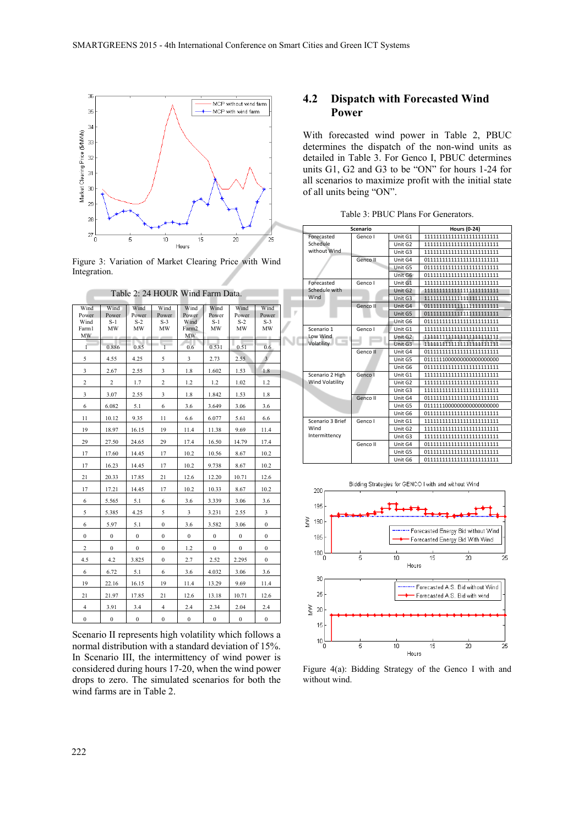

Figure 3: Variation of Market Clearing Price with Wind Integration.

| Table 2: 24 HOUR Wind Farm Data.     |                              |                              |                              |                                      |                            |                              |                              |  |
|--------------------------------------|------------------------------|------------------------------|------------------------------|--------------------------------------|----------------------------|------------------------------|------------------------------|--|
| Wind<br>Power<br>Wind<br>Farm1<br>MW | Wind<br>Power<br>$S-1$<br>MW | Wind<br>Power<br>$S-2$<br>МW | Wind<br>Power<br>$S-3$<br>МW | Wind<br>Power<br>Wind<br>Farm2<br>МW | Wind<br>Power<br>S-1<br>MW | Wind<br>Power<br>$S-2$<br>MW | Wind<br>Power<br>$S-3$<br>МW |  |
| ſ                                    | 0.886                        | 0.85                         | $\overline{1}$               | 0.6                                  | 0.531                      | 0.51                         | 0.6                          |  |
| 5                                    | 4.55                         | 4.25                         | 5                            | 3                                    | 2.73                       | 2.55                         | $\overline{\mathbf{3}}$      |  |
| 3                                    | 2.67                         | 2.55                         | 3                            | 1.8                                  | 1.602                      | 1.53                         | 1.8                          |  |
| $\overline{c}$                       | 2                            | 1.7                          | $\overline{c}$               | 1.2                                  | 1.2                        | 1.02                         | 1.2                          |  |
| 3                                    | 3.07                         | 2.55                         | 3                            | 1.8                                  | 1.842                      | 1.53                         | 1.8                          |  |
| 6                                    | 6.082                        | 5.1                          | 6                            | 3.6                                  | 3.649                      | 3.06                         | 3.6                          |  |
| 11                                   | 10.12                        | 9.35                         | 11                           | 6.6                                  | 6.077                      | 5.61                         | 6.6                          |  |
| 19                                   | 18.97                        | 16.15                        | 19                           | 11.4                                 | 11.38                      | 9.69                         | 11.4                         |  |
| 29                                   | 27.50                        | 24.65                        | 29                           | 17.4                                 | 16.50                      | 14.79                        | 17.4                         |  |
| 17                                   | 17.60                        | 14.45                        | 17                           | 10.2                                 | 10.56                      | 8.67                         | 10.2                         |  |
| 17                                   | 16.23                        | 14.45                        | 17                           | 10.2                                 | 9.738                      | 8.67                         | 10.2                         |  |
| 21                                   | 20.33                        | 17.85                        | 21                           | 12.6                                 | 12.20                      | 10.71                        | 12.6                         |  |
| 17                                   | 17.21                        | 14.45                        | 17                           | 10.2                                 | 10.33                      | 8.67                         | 10.2                         |  |
| 6                                    | 5.565                        | 5.1                          | 6                            | 3.6                                  | 3.339                      | 3.06                         | 3.6                          |  |
| 5                                    | 5.385                        | 4.25                         | 5                            | 3                                    | 3.231                      | 2.55                         | 3                            |  |
| 6                                    | 5.97                         | 5.1                          | $\mathbf{0}$                 | 3.6                                  | 3.582                      | 3.06                         | $\mathbf{0}$                 |  |
| $\boldsymbol{0}$                     | $\boldsymbol{0}$             | $\boldsymbol{0}$             | $\mathbf{0}$                 | $\boldsymbol{0}$                     | $\boldsymbol{0}$           | $\bf{0}$                     | $\mathbf{0}$                 |  |
| $\overline{c}$                       | $\mathbf{0}$                 | $\mathbf{0}$                 | $\mathbf{0}$                 | 1.2                                  | $\mathbf{0}$               | $\overline{0}$               | $\mathbf{0}$                 |  |
| 4.5                                  | 4.2                          | 3.825                        | $\mathbf{0}$                 | 2.7                                  | 2.52                       | 2.295                        | $\mathbf{0}$                 |  |
| 6                                    | 6.72                         | 5.1                          | 6                            | 3.6                                  | 4.032                      | 3.06                         | 3.6                          |  |
| 19                                   | 22.16                        | 16.15                        | 19                           | 11.4                                 | 13.29                      | 9.69                         | 11.4                         |  |
| 21                                   | 21.97                        | 17.85                        | 21                           | 12.6                                 | 13.18                      | 10.71                        | 12.6                         |  |
| 4                                    | 3.91                         | 3.4                          | 4                            | 2.4                                  | 2.34                       | 2.04                         | 2.4                          |  |
| $\boldsymbol{0}$                     | $\mathbf{0}$                 | 0                            | $\mathbf{0}$                 | 0                                    | 0                          | $\bf{0}$                     | $\bf{0}$                     |  |

Scenario II represents high volatility which follows a normal distribution with a standard deviation of 15%. In Scenario III, the intermittency of wind power is considered during hours 17-20, when the wind power drops to zero. The simulated scenarios for both the wind farms are in Table 2.

### **4.2 Dispatch with Forecasted Wind Power**

With forecasted wind power in Table 2, PBUC determines the dispatch of the non-wind units as detailed in Table 3. For Genco I, PBUC determines units G1, G2 and G3 to be "ON" for hours 1-24 for all scenarios to maximize profit with the initial state of all units being "ON".

Table 3: PBUC Plans For Generators.

|   |                        | <b>Scenario</b> | <b>Hours (0-24)</b> |                               |  |
|---|------------------------|-----------------|---------------------|-------------------------------|--|
|   | Forecasted             | Genco I         | Unit G1             | 11111111111111111111111111111 |  |
|   | Schedule               |                 | Unit G2             | 11111111111111111111111111111 |  |
|   | without Wind           |                 | Unit G3             |                               |  |
|   |                        | Genco II        | Unit G4             | 01111111111111111111111111    |  |
|   |                        |                 | Unit G5             | 01111111111111111111111111    |  |
|   |                        |                 | Unit G6             | 01111111111111111111111111    |  |
|   | Forecasted             | Genco I         | Unit G1             | 11111111111111111111111111    |  |
|   | Schedule with          |                 | Unit G2             | 11111111111111111111111111    |  |
|   | Wind                   |                 | Unit G3             |                               |  |
|   |                        | Genco II        | Unit G4             | 01111111111111111111111111    |  |
| ŗ |                        |                 | Unit G5             | 01111111111111111111111111    |  |
|   |                        |                 | Unit G6             | 01111111111111111111111111    |  |
|   | Scenario 1             | Genco I         | Unit G1             | 11111111111111111111111111    |  |
|   | Low Wind               |                 | Unit G2             | 11111111111111111111111111    |  |
|   | ٠<br>Volatility        |                 | Unit G3             | 1111111111111111111111111111  |  |
|   |                        | Genco II        | Unit G4             | 01111111111111111111111111    |  |
|   |                        |                 | Unit G5             | 0111111000000000000000000     |  |
|   |                        |                 | Unit G6             | 01111111111111111111111111    |  |
|   | Scenario 2 High        | Genco I         | Unit G1             | 11111111111111111111111111    |  |
|   | <b>Wind Volatility</b> |                 | Unit G2             |                               |  |
|   |                        |                 | Unit G3             | 11111111111111111111111111    |  |
|   |                        | Genco II        | Unit G4             | 01111111111111111111111111    |  |
|   |                        |                 | Unit G5             | 0111111000000000000000000     |  |
|   |                        |                 | Unit G6             | 01111111111111111111111111    |  |
|   | Scenario 3 Brief       | Genco I         | Unit G1             | 11111111111111111111111111111 |  |
|   | Wind                   |                 | Unit G2             | 11111111111111111111111111    |  |
|   | Intermittency          |                 | Unit G3             | 11111111111111111111111111111 |  |
|   |                        | Genco II        | Unit G4             | 01111111111111111111111111    |  |
|   |                        |                 | Unit G5             | 01111111111111111111111111    |  |
|   |                        |                 | Unit G6             | 01111111111111111111111111    |  |



Figure 4(a): Bidding Strategy of the Genco I with and without wind.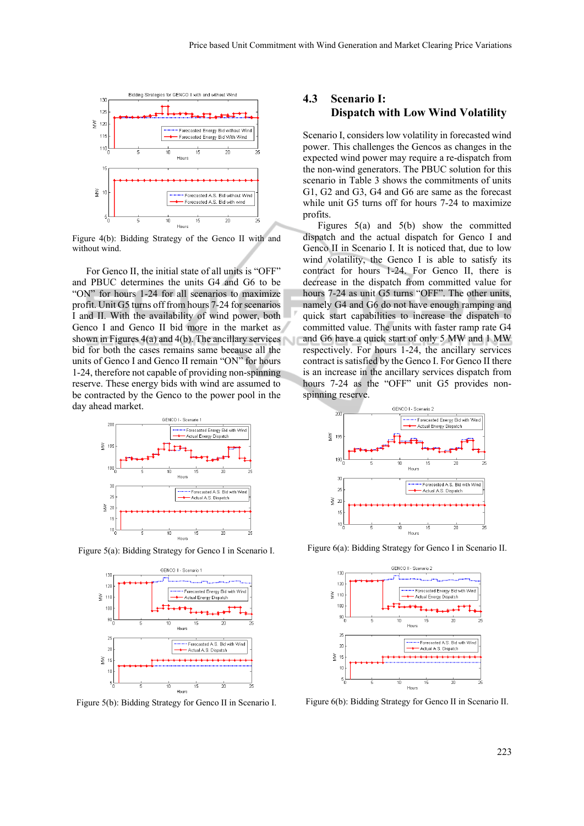

Figure 4(b): Bidding Strategy of the Genco II with and without wind.

For Genco II, the initial state of all units is "OFF" and PBUC determines the units G4 and G6 to be "ON" for hours 1-24 for all scenarios to maximize profit. Unit G5 turns off from hours 7-24 for scenarios I and II. With the availability of wind power, both Genco I and Genco II bid more in the market as shown in Figures  $4(a)$  and  $4(b)$ . The ancillary services bid for both the cases remains same because all the units of Genco I and Genco II remain "ON" for hours 1-24, therefore not capable of providing non-spinning reserve. These energy bids with wind are assumed to be contracted by the Genco to the power pool in the day ahead market.



Figure 5(a): Bidding Strategy for Genco I in Scenario I.



Figure 5(b): Bidding Strategy for Genco II in Scenario I.

### **4.3 Scenario I: Dispatch with Low Wind Volatility**

Scenario I, considers low volatility in forecasted wind power. This challenges the Gencos as changes in the expected wind power may require a re-dispatch from the non-wind generators. The PBUC solution for this scenario in Table 3 shows the commitments of units G1, G2 and G3, G4 and G6 are same as the forecast while unit G5 turns off for hours 7-24 to maximize profits.

Figures 5(a) and 5(b) show the committed dispatch and the actual dispatch for Genco I and Genco II in Scenario I. It is noticed that, due to low wind volatility, the Genco I is able to satisfy its contract for hours 1-24. For Genco II, there is decrease in the dispatch from committed value for hours 7-24 as unit G5 turns "OFF". The other units, namely G4 and G6 do not have enough ramping and quick start capabilities to increase the dispatch to committed value. The units with faster ramp rate G4 and G6 have a quick start of only 5 MW and 1 MW respectively. For hours 1-24, the ancillary services contract is satisfied by the Genco I. For Genco II there is an increase in the ancillary services dispatch from hours 7-24 as the "OFF" unit G5 provides nonspinning reserve.



Figure 6(a): Bidding Strategy for Genco I in Scenario II.



Figure 6(b): Bidding Strategy for Genco II in Scenario II.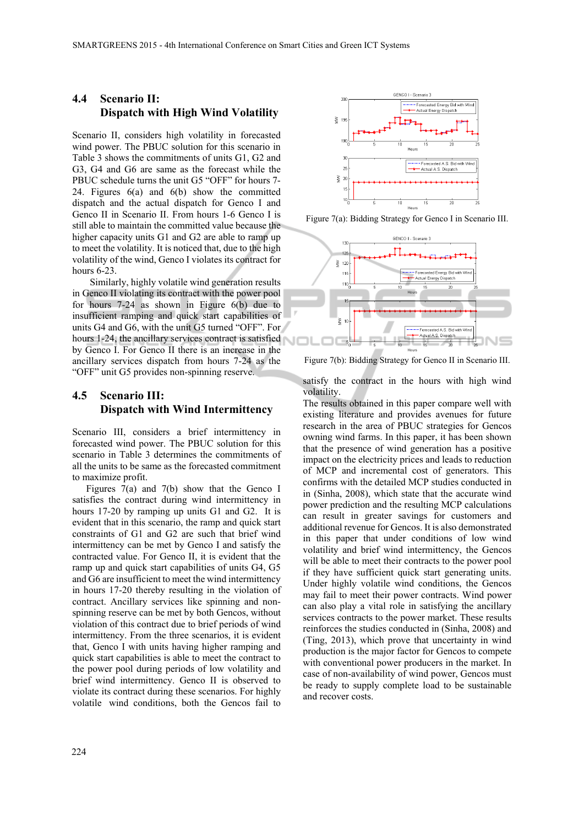### **4.4 Scenario II: Dispatch with High Wind Volatility**

Scenario II, considers high volatility in forecasted wind power. The PBUC solution for this scenario in Table 3 shows the commitments of units G1, G2 and G3, G4 and G6 are same as the forecast while the PBUC schedule turns the unit G5 "OFF" for hours 7- 24. Figures 6(a) and 6(b) show the committed dispatch and the actual dispatch for Genco I and Genco II in Scenario II. From hours 1-6 Genco I is still able to maintain the committed value because the higher capacity units G1 and G2 are able to ramp up to meet the volatility. It is noticed that, due to the high volatility of the wind, Genco I violates its contract for hours 6-23.

Similarly, highly volatile wind generation results in Genco II violating its contract with the power pool for hours 7-24 as shown in Figure 6(b) due to insufficient ramping and quick start capabilities of units G4 and G6, with the unit G5 turned "OFF". For hours 1-24, the ancillary services contract is satisfied by Genco I. For Genco II there is an increase in the ancillary services dispatch from hours 7-24 as the "OFF" unit G5 provides non-spinning reserve.

# **4.5 Scenario III: Dispatch with Wind Intermittency**

Scenario III, considers a brief intermittency in forecasted wind power. The PBUC solution for this scenario in Table 3 determines the commitments of all the units to be same as the forecasted commitment to maximize profit.

Figures 7(a) and 7(b) show that the Genco I satisfies the contract during wind intermittency in hours 17-20 by ramping up units G1 and G2. It is evident that in this scenario, the ramp and quick start constraints of G1 and G2 are such that brief wind intermittency can be met by Genco I and satisfy the contracted value. For Genco II, it is evident that the ramp up and quick start capabilities of units G4, G5 and G6 are insufficient to meet the wind intermittency in hours 17-20 thereby resulting in the violation of contract. Ancillary services like spinning and nonspinning reserve can be met by both Gencos, without violation of this contract due to brief periods of wind intermittency. From the three scenarios, it is evident that, Genco I with units having higher ramping and quick start capabilities is able to meet the contract to the power pool during periods of low volatility and brief wind intermittency. Genco II is observed to violate its contract during these scenarios. For highly volatile wind conditions, both the Gencos fail to



Figure 7(a): Bidding Strategy for Genco I in Scenario III.



Figure 7(b): Bidding Strategy for Genco II in Scenario III.

satisfy the contract in the hours with high wind volatility.

The results obtained in this paper compare well with existing literature and provides avenues for future research in the area of PBUC strategies for Gencos owning wind farms. In this paper, it has been shown that the presence of wind generation has a positive impact on the electricity prices and leads to reduction of MCP and incremental cost of generators. This confirms with the detailed MCP studies conducted in in (Sinha, 2008), which state that the accurate wind power prediction and the resulting MCP calculations can result in greater savings for customers and additional revenue for Gencos. It is also demonstrated in this paper that under conditions of low wind volatility and brief wind intermittency, the Gencos will be able to meet their contracts to the power pool if they have sufficient quick start generating units. Under highly volatile wind conditions, the Gencos may fail to meet their power contracts. Wind power can also play a vital role in satisfying the ancillary services contracts to the power market. These results reinforces the studies conducted in (Sinha, 2008) and (Ting, 2013), which prove that uncertainty in wind production is the major factor for Gencos to compete with conventional power producers in the market. In case of non-availability of wind power, Gencos must be ready to supply complete load to be sustainable and recover costs.